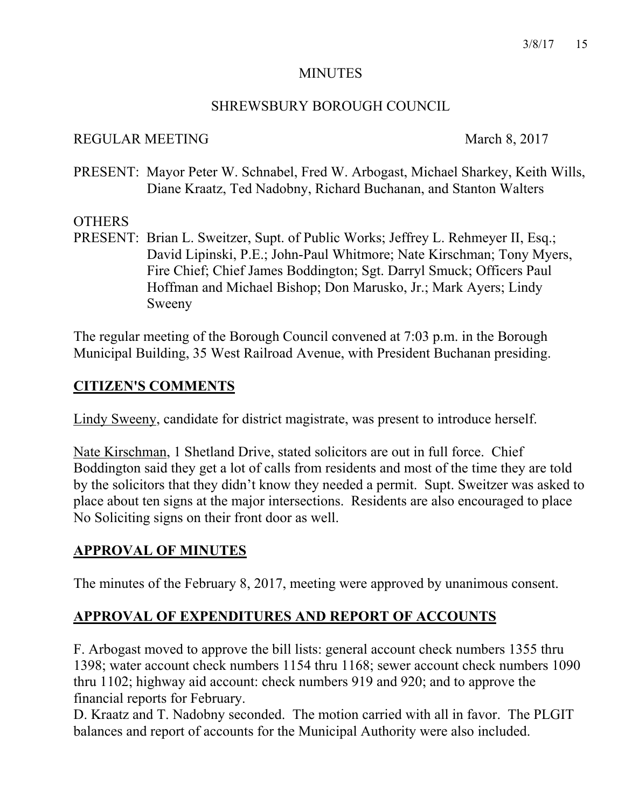#### MINUTES

## SHREWSBURY BOROUGH COUNCIL

#### REGULAR MEETING March 8, 2017

PRESENT: Mayor Peter W. Schnabel, Fred W. Arbogast, Michael Sharkey, Keith Wills, Diane Kraatz, Ted Nadobny, Richard Buchanan, and Stanton Walters

## **OTHERS**

PRESENT: Brian L. Sweitzer, Supt. of Public Works; Jeffrey L. Rehmeyer II, Esq.; David Lipinski, P.E.; John-Paul Whitmore; Nate Kirschman; Tony Myers, Fire Chief; Chief James Boddington; Sgt. Darryl Smuck; Officers Paul Hoffman and Michael Bishop; Don Marusko, Jr.; Mark Ayers; Lindy Sweeny

The regular meeting of the Borough Council convened at 7:03 p.m. in the Borough Municipal Building, 35 West Railroad Avenue, with President Buchanan presiding.

# **CITIZEN'S COMMENTS**

Lindy Sweeny, candidate for district magistrate, was present to introduce herself.

Nate Kirschman, 1 Shetland Drive, stated solicitors are out in full force. Chief Boddington said they get a lot of calls from residents and most of the time they are told by the solicitors that they didn't know they needed a permit. Supt. Sweitzer was asked to place about ten signs at the major intersections. Residents are also encouraged to place No Soliciting signs on their front door as well.

# **APPROVAL OF MINUTES**

The minutes of the February 8, 2017, meeting were approved by unanimous consent.

# **APPROVAL OF EXPENDITURES AND REPORT OF ACCOUNTS**

F. Arbogast moved to approve the bill lists: general account check numbers 1355 thru 1398; water account check numbers 1154 thru 1168; sewer account check numbers 1090 thru 1102; highway aid account: check numbers 919 and 920; and to approve the financial reports for February.

D. Kraatz and T. Nadobny seconded. The motion carried with all in favor. The PLGIT balances and report of accounts for the Municipal Authority were also included.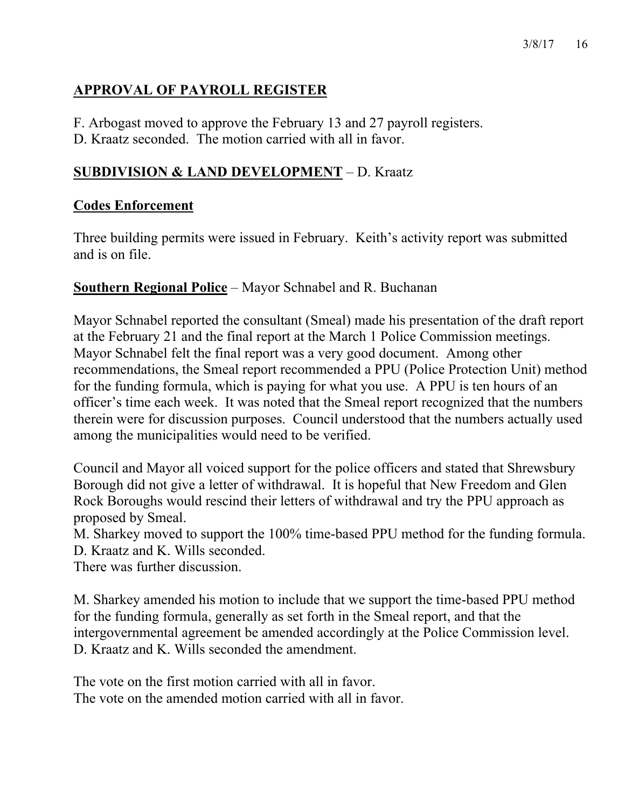# **APPROVAL OF PAYROLL REGISTER**

F. Arbogast moved to approve the February 13 and 27 payroll registers.

D. Kraatz seconded. The motion carried with all in favor.

# **SUBDIVISION & LAND DEVELOPMENT** – D. Kraatz

# **Codes Enforcement**

Three building permits were issued in February. Keith's activity report was submitted and is on file.

## **Southern Regional Police** – Mayor Schnabel and R. Buchanan

Mayor Schnabel reported the consultant (Smeal) made his presentation of the draft report at the February 21 and the final report at the March 1 Police Commission meetings. Mayor Schnabel felt the final report was a very good document. Among other recommendations, the Smeal report recommended a PPU (Police Protection Unit) method for the funding formula, which is paying for what you use. A PPU is ten hours of an officer's time each week. It was noted that the Smeal report recognized that the numbers therein were for discussion purposes. Council understood that the numbers actually used among the municipalities would need to be verified.

Council and Mayor all voiced support for the police officers and stated that Shrewsbury Borough did not give a letter of withdrawal. It is hopeful that New Freedom and Glen Rock Boroughs would rescind their letters of withdrawal and try the PPU approach as proposed by Smeal.

M. Sharkey moved to support the 100% time-based PPU method for the funding formula. D. Kraatz and K. Wills seconded.

There was further discussion.

M. Sharkey amended his motion to include that we support the time-based PPU method for the funding formula, generally as set forth in the Smeal report, and that the intergovernmental agreement be amended accordingly at the Police Commission level. D. Kraatz and K. Wills seconded the amendment.

The vote on the first motion carried with all in favor. The vote on the amended motion carried with all in favor.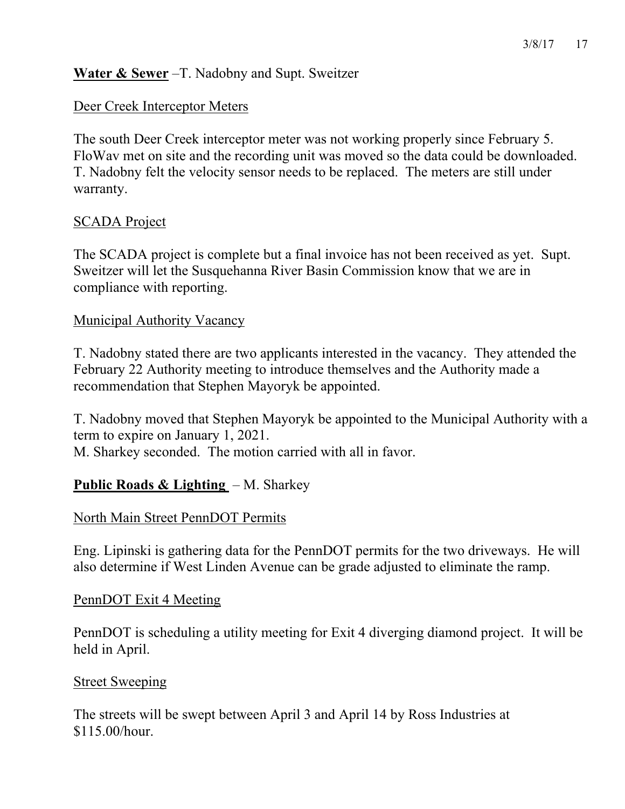## **Water & Sewer** –T. Nadobny and Supt. Sweitzer

#### Deer Creek Interceptor Meters

The south Deer Creek interceptor meter was not working properly since February 5. FloWav met on site and the recording unit was moved so the data could be downloaded. T. Nadobny felt the velocity sensor needs to be replaced. The meters are still under warranty.

## SCADA Project

The SCADA project is complete but a final invoice has not been received as yet. Supt. Sweitzer will let the Susquehanna River Basin Commission know that we are in compliance with reporting.

#### Municipal Authority Vacancy

T. Nadobny stated there are two applicants interested in the vacancy. They attended the February 22 Authority meeting to introduce themselves and the Authority made a recommendation that Stephen Mayoryk be appointed.

T. Nadobny moved that Stephen Mayoryk be appointed to the Municipal Authority with a term to expire on January 1, 2021.

M. Sharkey seconded. The motion carried with all in favor.

## **Public Roads & Lighting** – M. Sharkey

#### North Main Street PennDOT Permits

Eng. Lipinski is gathering data for the PennDOT permits for the two driveways. He will also determine if West Linden Avenue can be grade adjusted to eliminate the ramp.

#### PennDOT Exit 4 Meeting

PennDOT is scheduling a utility meeting for Exit 4 diverging diamond project. It will be held in April.

#### **Street Sweeping**

The streets will be swept between April 3 and April 14 by Ross Industries at \$115.00/hour.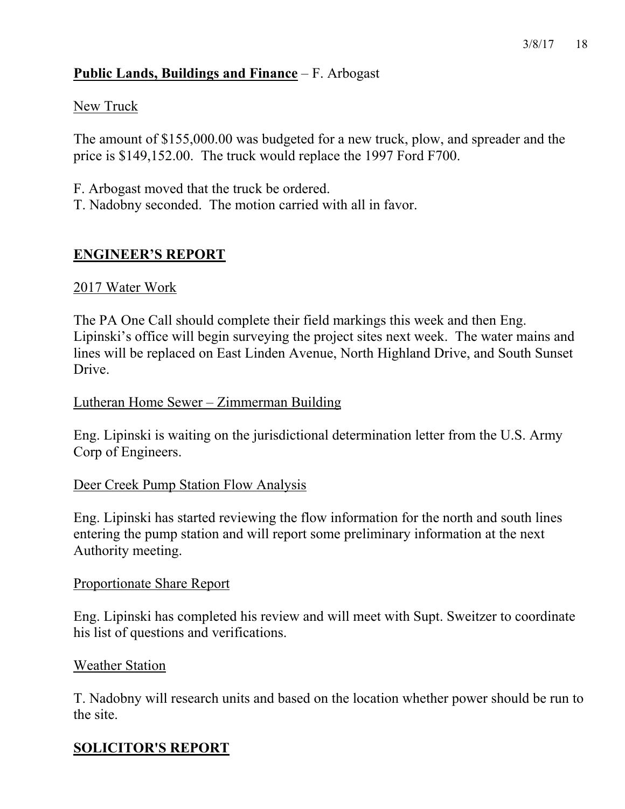# **Public Lands, Buildings and Finance** – F. Arbogast

## New Truck

The amount of \$155,000.00 was budgeted for a new truck, plow, and spreader and the price is \$149,152.00. The truck would replace the 1997 Ford F700.

F. Arbogast moved that the truck be ordered.

T. Nadobny seconded. The motion carried with all in favor.

# **ENGINEER'S REPORT**

## 2017 Water Work

The PA One Call should complete their field markings this week and then Eng. Lipinski's office will begin surveying the project sites next week. The water mains and lines will be replaced on East Linden Avenue, North Highland Drive, and South Sunset Drive.

## Lutheran Home Sewer – Zimmerman Building

Eng. Lipinski is waiting on the jurisdictional determination letter from the U.S. Army Corp of Engineers.

# Deer Creek Pump Station Flow Analysis

Eng. Lipinski has started reviewing the flow information for the north and south lines entering the pump station and will report some preliminary information at the next Authority meeting.

## Proportionate Share Report

Eng. Lipinski has completed his review and will meet with Supt. Sweitzer to coordinate his list of questions and verifications.

## Weather Station

T. Nadobny will research units and based on the location whether power should be run to the site.

# **SOLICITOR'S REPORT**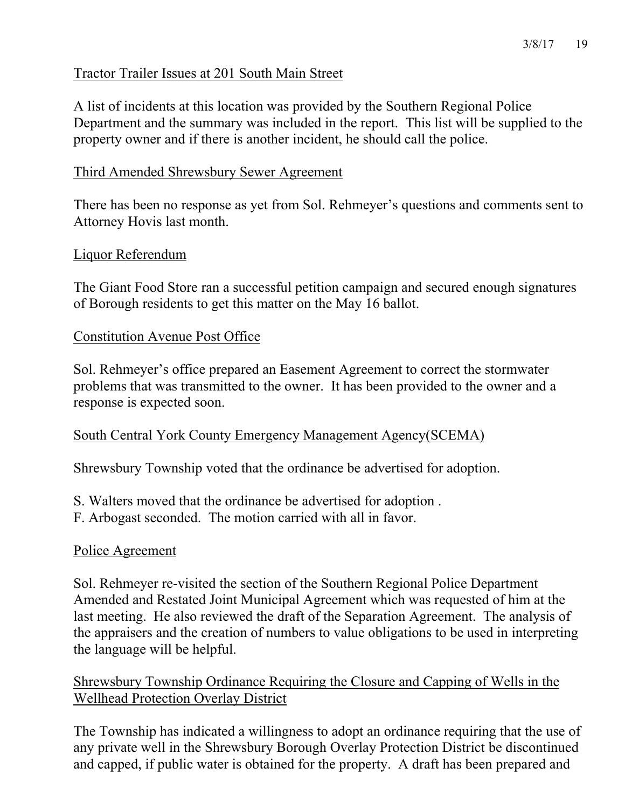## Tractor Trailer Issues at 201 South Main Street

A list of incidents at this location was provided by the Southern Regional Police Department and the summary was included in the report. This list will be supplied to the property owner and if there is another incident, he should call the police.

## Third Amended Shrewsbury Sewer Agreement

There has been no response as yet from Sol. Rehmeyer's questions and comments sent to Attorney Hovis last month.

#### Liquor Referendum

The Giant Food Store ran a successful petition campaign and secured enough signatures of Borough residents to get this matter on the May 16 ballot.

## Constitution Avenue Post Office

Sol. Rehmeyer's office prepared an Easement Agreement to correct the stormwater problems that was transmitted to the owner. It has been provided to the owner and a response is expected soon.

## South Central York County Emergency Management Agency(SCEMA)

Shrewsbury Township voted that the ordinance be advertised for adoption.

- S. Walters moved that the ordinance be advertised for adoption .
- F. Arbogast seconded. The motion carried with all in favor.

## Police Agreement

Sol. Rehmeyer re-visited the section of the Southern Regional Police Department Amended and Restated Joint Municipal Agreement which was requested of him at the last meeting. He also reviewed the draft of the Separation Agreement. The analysis of the appraisers and the creation of numbers to value obligations to be used in interpreting the language will be helpful.

# Shrewsbury Township Ordinance Requiring the Closure and Capping of Wells in the Wellhead Protection Overlay District

The Township has indicated a willingness to adopt an ordinance requiring that the use of any private well in the Shrewsbury Borough Overlay Protection District be discontinued and capped, if public water is obtained for the property. A draft has been prepared and